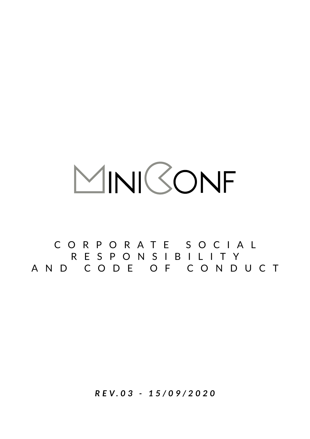# MINIBONF

CORPORATE SOCIAL RESPONSIBILITY AND CODE OF CONDUCT

*R E V. 0 3 - 1 5 / 0 9 / 2 0 2 0*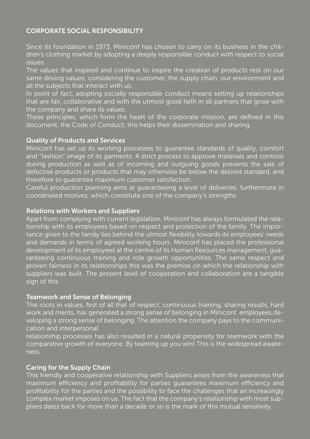# CORPORATE SOCIAL RESPONSIBILITY

Since its foundation in 1973, Miniconf has chosen to carry on its business in the children's clothing market by adopting a deeply responsible conduct with respect to social issues.

The values that inspired and continue to inspire the creation of products rest on our same driving values, considering the customer, the supply chain, our environment and all the subjects that interact with us.

In point of fact, adopting socially responsible conduct means setting up relationships that are fair, collaborative and with the utmost good faith in all partners that grow with the company and share its values.

These principles, which form the heart of the corporate mission, are defined in this document, the Code of Conduct; this helps their dissemination and sharing.

## Quality of Products and Services

Miniconf has set up its working processes to guarantee standards of quality, comfort and "fashion" image of its garments. A strict process to approve materials and controls during production as well as of incoming and outgoing goods prevents the sale of defective products or products that may otherwise be below the desired standard, and therefore to guarantee maximum customer satisfaction.

Careful production planning aims at guaranteeing a level of deliveries, furthermore in coordinated motives, which constitute one of the company's strengths.

## Relations with Workers and Suppliers

Apart from complying with current legislation, Miniconf has always formulated the relationship with its employees based on respect and protection of the family. The importance given to the family lies behind the utmost flexibility towards its employees' needs and demands in terms of agreed working hours. Miniconf has placed the professional development of its employees at the centre of its Human Resources management, guaranteeing continuous training and role growth opportunities. The same respect and proven fairness in its relationships this was the premise on which the relationship with suppliers was built. The present level of cooperation and collaboration are a tangible sign of this.

#### Teamwork and Sense of Belonging

The roots in values, first of all that of respect, continuous training, sharing results, hard work and merits, has generated a strong sense of belonging in Miniconf. employees.developing a strong sense of belonging. The attention the company pays to the communication and interpersonal

relationship processes has also resulted in a natural propensity for teamwork with the comparative growth of everyone. By teaming up you win! This is the widespread awareness.

# Caring for the Supply Chain

This friendly and cooperative relationship with Suppliers arises from the awareness that maximum efficiency and profitability for parties guarantees maximum efficiency and profitability for the parties and the possibility to face the challenges that an increasingly complex market imposes on us. The fact that the company's relationship with most suppliers dates back for more than a decade or so is the mark of this mutual sensitivity.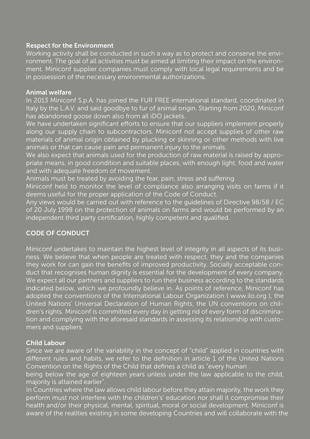## Respect for the Environment

Working activity shall be conducted in such a way as to protect and conserve the environment. The goal of all activities must be aimed at limiting their impact on the environment. Miniconf supplier companies must comply with local legal requirements and be in possession of the necessary environmental authorizations.

#### Animal welfare

In 2013 Miniconf S.p.A. has joined the FUR FREE international standard, coordinated in Italy by the L.A.V. and said goodbye to fur of animal origin. Starting from 2020, Miniconf has abandoned goose down also from all iDO jackets.

We have undertaken significant efforts to ensure that our suppliers implement properly along our supply chain to subcontractors. Miniconf not accept supplies of other raw materials of animal origin obtained by plucking or skinning or other methods with live animals or that can cause pain and permanent injury to the animals.

We also expect that animals used for the production of raw material is raised by appropriate means, in good condition and suitable places, with enough light, food and water and with adequate freedom of movement.

Animals must be treated by avoiding the fear, pain, stress and suffering.

Miniconf held to monitor the level of compliance also arranging visits on farms if it deems useful for the proper application of the Code of Conduct.

Any views would be carried out with reference to the guidelines of Directive 98/58 / EC of 20 July 1998 on the protection of animals on farms and would be performed by an independent third party certification, highly competent and qualified.

# CODE OF CONDUCT

Miniconf undertakes to maintain the highest level of integrity in all aspects of its business. We believe that when people are treated with respect, they and the companies they work for can gain the benefits of improved productivity. Socially acceptable conduct that recognises human dignity is essential for the development of every company. We expect all our partners and suppliers to run their business according to the standards indicated below, which we profoundly believe in. As points of reference, Miniconf has adopted the conventions of the International Labour Organization ( www.ilo.org ), the United Nations' Universal Declaration of Human Rights, the UN conventions on children's rights. Miniconf is committed every day in getting rid of every form of discrimination and complying with the aforesaid standards in assessing its relationship with customers and suppliers.

#### Child Labour

Since we are aware of the variability in the concept of "child" applied in countries with different rules and habits, we refer to the definition in article 1 of the United Nations Convention on the Rights of the Child that defines a child as "every human

being below the age of eighteen years unless under the law applicable to the child, majority is attained earlier".

In Countries where the law allows child labour before they attain majority, the work they perform must not interfere with the children's' education nor shall it compromise their health and/or their physical, mental, spiritual, moral or social development. Miniconf is aware of the realities existing in some developing Countries and will collaborate with the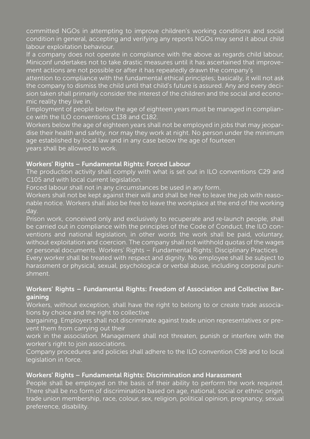committed NGOs in attempting to improve children's working conditions and social condition in general, accepting and verifying any reports NGOs may send it about child labour exploitation behaviour.

If a company does not operate in compliance with the above as regards child labour, Miniconf undertakes not to take drastic measures until it has ascertained that improvement actions are not possible or after it has repeatedly drawn the company's

attention to compliance with the fundamental ethical principles; basically, it will not ask the company to dismiss the child until that child's future is assured. Any and every decision taken shall primarily consider the interest of the children and the social and economic reality they live in.

Employment of people below the age of eighteen years must be managed in compliance with the ILO conventions C138 and C182.

Workers below the age of eighteen years shall not be employed in jobs that may jeopardise their health and safety, nor may they work at night. No person under the minimum age established by local law and in any case below the age of fourteen years shall be allowed to work.

# Workers' Rights – Fundamental Rights: Forced Labour

The production activity shall comply with what is set out in ILO conventions C29 and C105 and with local current legislation.

Forced labour shall not in any circumstances be used in any form.

Workers shall not be kept against their will and shall be free to leave the job with reasonable notice. Workers shall also be free to leave the workplace at the end of the working day.

Prison work, conceived only and exclusively to recuperate and re‐launch people, shall be carried out in compliance with the principles of the Code of Conduct, the ILO conventions and national legislation, in other words the work shall be paid, voluntary, without exploitation and coercion. The company shall not withhold quotas of the wages or personal documents. Workers' Rights – Fundamental Rights: Disciplinary Practices Every worker shall be treated with respect and dignity. No employee shall be subject to harassment or physical, sexual, psychological or verbal abuse, including corporal punishment.

# Workers' Rights – Fundamental Rights: Freedom of Association and Collective Bargaining

Workers, without exception, shall have the right to belong to or create trade associations by choice and the right to collective

bargaining. Employers shall not discriminate against trade union representatives or prevent them from carrying out their

work in the association. Management shall not threaten, punish or interfere with the worker's right to join associations.

Company procedures and policies shall adhere to the ILO convention C98 and to local legislation in force.

# Workers' Rights – Fundamental Rights: Discrimination and Harassment

People shall be employed on the basis of their ability to perform the work required. There shall be no form of discrimination based on age, national, social or ethnic origin, trade union membership, race, colour, sex, religion, political opinion, pregnancy, sexual preference, disability.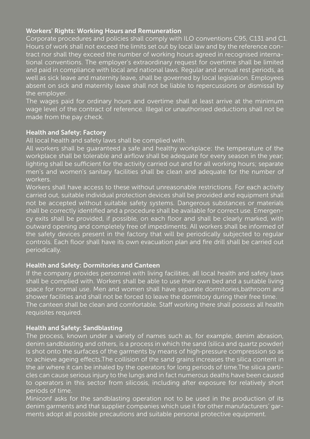#### Workers' Rights: Working Hours and Remuneration

Corporate procedures and policies shall comply with ILO conventions C95, C131 and C1. Hours of work shall not exceed the limits set out by local law and by the reference contract nor shall they exceed the number of working hours agreed in recognised international conventions. The employer's extraordinary request for overtime shall be limited and paid in compliance with local and national laws. Regular and annual rest periods, as well as sick leave and maternity leave, shall be governed by local legislation. Employees absent on sick and maternity leave shall not be liable to repercussions or dismissal by the employer.

The wages paid for ordinary hours and overtime shall at least arrive at the minimum wage level of the contract of reference. Illegal or unauthorised deductions shall not be made from the pay check.

## Health and Safety: Factory

All local health and safety laws shall be complied with.

All workers shall be guaranteed a safe and healthy workplace: the temperature of the workplace shall be tolerable and airflow shall be adequate for every season in the year; lighting shall be sufficient for the activity carried out and for all working hours; separate men's and women's sanitary facilities shall be clean and adequate for the number of workers.

Workers shall have access to these without unreasonable restrictions. For each activity carried out, suitable individual protection devices shall be provided and equipment shall not be accepted without suitable safety systems. Dangerous substances or materials shall be correctly identified and a procedure shall be available for correct use. Emergency exits shall be provided, if possible, on each floor and shall be clearly marked, with outward opening and completely free of impediments. All workers shall be informed of the safety devices present in the factory that will be periodically subjected to regular controls. Each floor shall have its own evacuation plan and fire drill shall be carried out periodically.

# Health and Safety: Dormitories and Canteen

If the company provides personnel with living facilities, all local health and safety laws shall be complied with. Workers shall be able to use their own bed and a suitable living space for normal use. Men and women shall have separate dormitories,bathroom and shower facilities and shall not be forced to leave the dormitory during their free time. The canteen shall be clean and comfortable. Staff working there shall possess all health requisites required.

# Health and Safety: Sandblasting

The process, known under a variety of names such as, for example, denim abrasion, denim sandblasting and others, is a process in which the sand (silica and quartz powder) is shot onto the surfaces of the garments by means of high‐pressure compression so as to achieve ageing effects. The collision of the sand grains increases the silica content in the air where it can be inhaled by the operators for long periods of time.The silica particles can cause serious injury to the lungs and in fact numerous deaths have been caused to operators in this sector from silicosis, including after exposure for relatively short periods of time.

Miniconf asks for the sandblasting operation not to be used in the production of its denim garments and that supplier companies which use it for other manufacturers' garments adopt all possible precautions and suitable personal protective equipment.